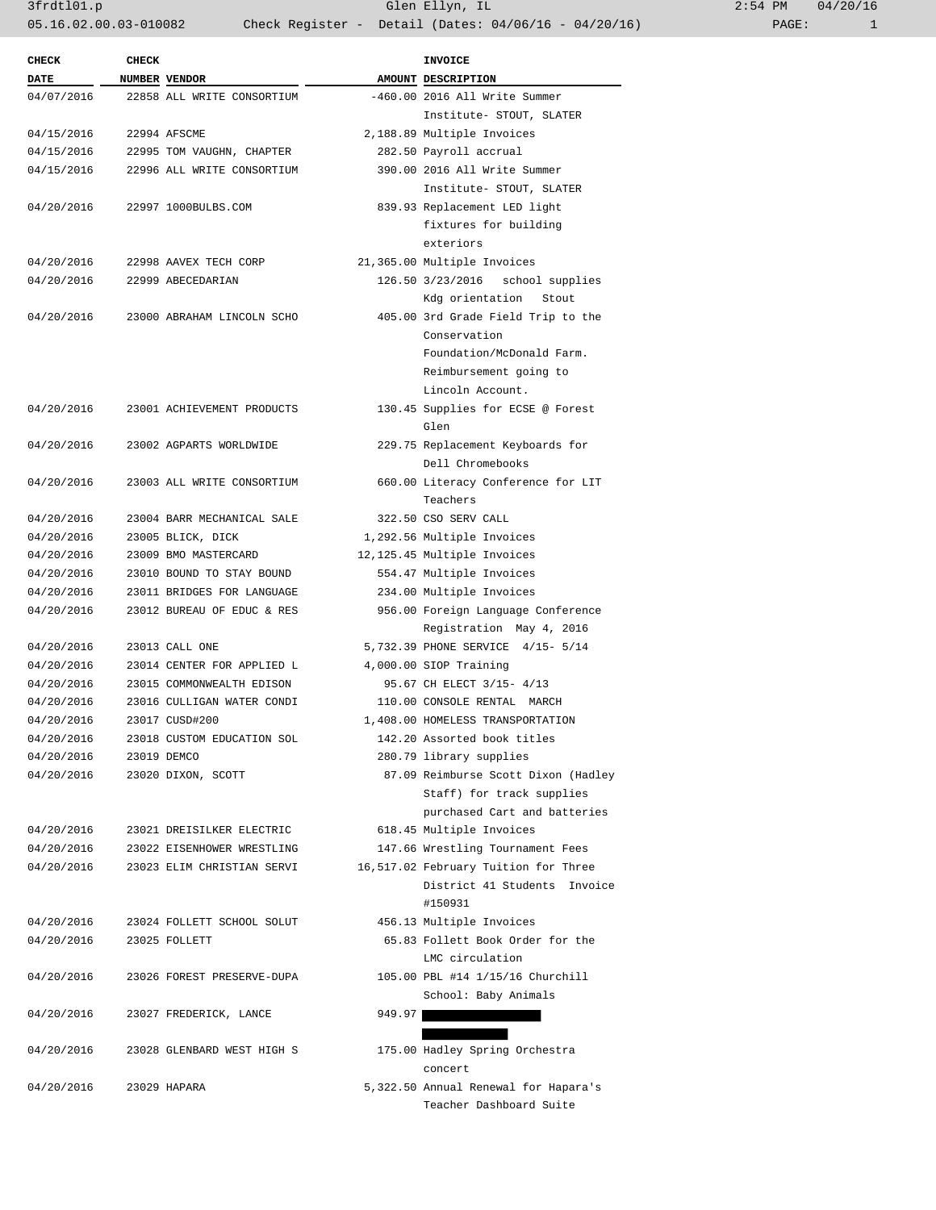3frdtl01.p Glen Ellyn, IL 2:54 PM 04/20/16 05.16.02.00.03-010082 Check Register - Detail (Dates: 04/06/16 - 04/20/16) PAGE: 1

| <b>CHECK</b> | <b>CHECK</b> |                            |        | <b>INVOICE</b>                                      |
|--------------|--------------|----------------------------|--------|-----------------------------------------------------|
| DATE         |              | NUMBER VENDOR              |        | AMOUNT DESCRIPTION                                  |
| 04/07/2016   |              | 22858 ALL WRITE CONSORTIUM |        | $-460.00$ 2016 All Write Summer                     |
|              |              |                            |        | Institute- STOUT, SLATER                            |
| 04/15/2016   |              | 22994 AFSCME               |        | 2,188.89 Multiple Invoices                          |
| 04/15/2016   |              | 22995 TOM VAUGHN, CHAPTER  |        | 282.50 Payroll accrual                              |
| 04/15/2016   |              | 22996 ALL WRITE CONSORTIUM |        | 390.00 2016 All Write Summer                        |
|              |              |                            |        | Institute- STOUT, SLATER                            |
| 04/20/2016   |              | 22997 1000BULBS.COM        |        | 839.93 Replacement LED light                        |
|              |              |                            |        | fixtures for building                               |
|              |              |                            |        | exteriors                                           |
| 04/20/2016   |              | 22998 AAVEX TECH CORP      |        | 21,365.00 Multiple Invoices                         |
| 04/20/2016   |              | 22999 ABECEDARIAN          |        | 126.50 3/23/2016 school supplies                    |
|              |              |                            |        | Kdg orientation Stout                               |
| 04/20/2016   |              | 23000 ABRAHAM LINCOLN SCHO |        | 405.00 3rd Grade Field Trip to the                  |
|              |              |                            |        | Conservation                                        |
|              |              |                            |        | Foundation/McDonald Farm.                           |
|              |              |                            |        | Reimbursement going to                              |
|              |              |                            |        | Lincoln Account.                                    |
| 04/20/2016   |              | 23001 ACHIEVEMENT PRODUCTS |        |                                                     |
|              |              |                            |        | 130.45 Supplies for ECSE @ Forest<br>Glen           |
|              |              |                            |        | 229.75 Replacement Keyboards for                    |
| 04/20/2016   |              | 23002 AGPARTS WORLDWIDE    |        |                                                     |
|              |              |                            |        | Dell Chromebooks                                    |
| 04/20/2016   |              | 23003 ALL WRITE CONSORTIUM |        | 660.00 Literacy Conference for LIT                  |
|              |              |                            |        | Teachers                                            |
| 04/20/2016   |              | 23004 BARR MECHANICAL SALE |        | 322.50 CSO SERV CALL                                |
| 04/20/2016   |              | 23005 BLICK, DICK          |        | 1,292.56 Multiple Invoices                          |
| 04/20/2016   |              | 23009 BMO MASTERCARD       |        | 12,125.45 Multiple Invoices                         |
| 04/20/2016   |              | 23010 BOUND TO STAY BOUND  |        | 554.47 Multiple Invoices                            |
| 04/20/2016   |              | 23011 BRIDGES FOR LANGUAGE |        | 234.00 Multiple Invoices                            |
| 04/20/2016   |              | 23012 BUREAU OF EDUC & RES |        | 956.00 Foreign Language Conference                  |
|              |              |                            |        | Registration May 4, 2016                            |
| 04/20/2016   |              | 23013 CALL ONE             |        | 5,732.39 PHONE SERVICE 4/15- 5/14                   |
| 04/20/2016   |              | 23014 CENTER FOR APPLIED L |        | 4,000.00 SIOP Training<br>95.67 CH ELECT 3/15- 4/13 |
| 04/20/2016   |              | 23015 COMMONWEALTH EDISON  |        |                                                     |
| 04/20/2016   |              | 23016 CULLIGAN WATER CONDI |        | 110.00 CONSOLE RENTAL MARCH                         |
| 04/20/2016   |              | 23017 CUSD#200             |        | 1,408.00 HOMELESS TRANSPORTATION                    |
| 04/20/2016   |              | 23018 CUSTOM EDUCATION SOL |        | 142.20 Assorted book titles                         |
| 04/20/2016   |              | 23019 DEMCO                |        | 280.79 library supplies                             |
| 04/20/2016   |              | 23020 DIXON, SCOTT         |        | 87.09 Reimburse Scott Dixon (Hadley                 |
|              |              |                            |        | Staff) for track supplies                           |
|              |              | 23021 DREISILKER ELECTRIC  |        | purchased Cart and batteries                        |
| 04/20/2016   |              |                            |        | 618.45 Multiple Invoices                            |
| 04/20/2016   |              | 23022 EISENHOWER WRESTLING |        | 147.66 Wrestling Tournament Fees                    |
| 04/20/2016   |              | 23023 ELIM CHRISTIAN SERVI |        | 16,517.02 February Tuition for Three                |
|              |              |                            |        | District 41 Students Invoice                        |
|              |              |                            |        | #150931                                             |
| 04/20/2016   |              | 23024 FOLLETT SCHOOL SOLUT |        | 456.13 Multiple Invoices                            |
| 04/20/2016   |              | 23025 FOLLETT              |        | 65.83 Follett Book Order for the                    |
|              |              |                            |        | LMC circulation                                     |
| 04/20/2016   |              | 23026 FOREST PRESERVE-DUPA |        | 105.00 PBL #14 1/15/16 Churchill                    |
|              |              |                            |        | School: Baby Animals                                |
| 04/20/2016   |              | 23027 FREDERICK, LANCE     | 949.97 |                                                     |
|              |              |                            |        |                                                     |
| 04/20/2016   |              | 23028 GLENBARD WEST HIGH S |        | 175.00 Hadley Spring Orchestra                      |
|              |              |                            |        | concert                                             |
| 04/20/2016   |              | 23029 HAPARA               |        | 5,322.50 Annual Renewal for Hapara's                |
|              |              |                            |        | Teacher Dashboard Suite                             |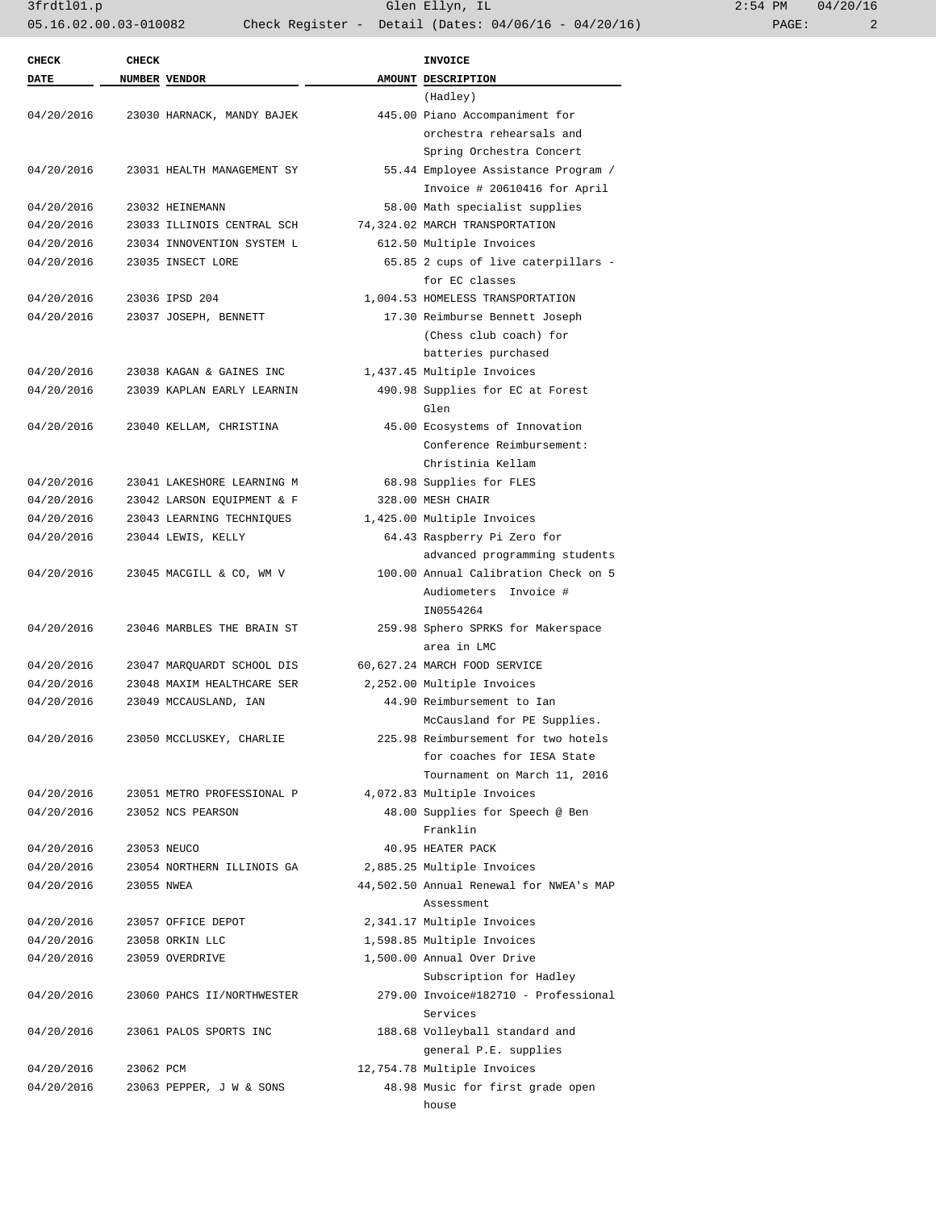3frdtl01.p Glen Ellyn, IL 2:54 PM 04/20/16 05.16.02.00.03-010082 Check Register - Detail (Dates: 04/06/16 - 04/20/16) PAGE: 2

| <b>CHECK</b> | <b>CHECK</b>  |                            | <b>INVOICE</b>                          |
|--------------|---------------|----------------------------|-----------------------------------------|
| <b>DATE</b>  | NUMBER VENDOR |                            | AMOUNT DESCRIPTION                      |
|              |               |                            | (Hadley)                                |
| 04/20/2016   |               | 23030 HARNACK, MANDY BAJEK | 445.00 Piano Accompaniment for          |
|              |               |                            | orchestra rehearsals and                |
|              |               |                            | Spring Orchestra Concert                |
| 04/20/2016   |               | 23031 HEALTH MANAGEMENT SY | 55.44 Employee Assistance Program /     |
|              |               |                            | Invoice # 20610416 for April            |
| 04/20/2016   |               | 23032 HEINEMANN            | 58.00 Math specialist supplies          |
| 04/20/2016   |               | 23033 ILLINOIS CENTRAL SCH | 74,324.02 MARCH TRANSPORTATION          |
| 04/20/2016   |               | 23034 INNOVENTION SYSTEM L | 612.50 Multiple Invoices                |
| 04/20/2016   |               | 23035 INSECT LORE          | 65.85 2 cups of live caterpillars -     |
|              |               |                            | for EC classes                          |
| 04/20/2016   |               | 23036 IPSD 204             | 1,004.53 HOMELESS TRANSPORTATION        |
| 04/20/2016   |               | 23037 JOSEPH, BENNETT      | 17.30 Reimburse Bennett Joseph          |
|              |               |                            | (Chess club coach) for                  |
|              |               |                            | batteries purchased                     |
| 04/20/2016   |               | 23038 KAGAN & GAINES INC   | 1,437.45 Multiple Invoices              |
| 04/20/2016   |               | 23039 KAPLAN EARLY LEARNIN | 490.98 Supplies for EC at Forest        |
|              |               |                            | Glen                                    |
| 04/20/2016   |               | 23040 KELLAM, CHRISTINA    | 45.00 Ecosystems of Innovation          |
|              |               |                            | Conference Reimbursement:               |
|              |               |                            |                                         |
|              |               |                            | Christinia Kellam                       |
| 04/20/2016   |               | 23041 LAKESHORE LEARNING M | 68.98 Supplies for FLES                 |
| 04/20/2016   |               | 23042 LARSON EQUIPMENT & F | 328.00 MESH CHAIR                       |
| 04/20/2016   |               | 23043 LEARNING TECHNIQUES  | 1,425.00 Multiple Invoices              |
| 04/20/2016   |               | 23044 LEWIS, KELLY         | 64.43 Raspberry Pi Zero for             |
|              |               |                            | advanced programming students           |
| 04/20/2016   |               | 23045 MACGILL & CO, WM V   | 100.00 Annual Calibration Check on 5    |
|              |               |                            | Audiometers Invoice #                   |
|              |               |                            | IN0554264                               |
| 04/20/2016   |               | 23046 MARBLES THE BRAIN ST | 259.98 Sphero SPRKS for Makerspace      |
|              |               |                            | area in LMC                             |
| 04/20/2016   |               | 23047 MARQUARDT SCHOOL DIS | 60,627.24 MARCH FOOD SERVICE            |
| 04/20/2016   |               | 23048 MAXIM HEALTHCARE SER | 2,252.00 Multiple Invoices              |
| 04/20/2016   |               | 23049 MCCAUSLAND, IAN      | 44.90 Reimbursement to Ian              |
|              |               |                            | McCausland for PE Supplies.             |
| 04/20/2016   |               | 23050 MCCLUSKEY, CHARLIE   | 225.98 Reimbursement for two hotels     |
|              |               |                            | for coaches for IESA State              |
|              |               |                            | Tournament on March 11, 2016            |
| 04/20/2016   |               | 23051 METRO PROFESSIONAL P | 4,072.83 Multiple Invoices              |
| 04/20/2016   |               | 23052 NCS PEARSON          | 48.00 Supplies for Speech @ Ben         |
|              |               |                            | Franklin                                |
| 04/20/2016   |               | 23053 NEUCO                | 40.95 HEATER PACK                       |
| 04/20/2016   |               | 23054 NORTHERN ILLINOIS GA | 2,885.25 Multiple Invoices              |
| 04/20/2016   | 23055 NWEA    |                            | 44,502.50 Annual Renewal for NWEA's MAP |
|              |               |                            | Assessment                              |
| 04/20/2016   |               | 23057 OFFICE DEPOT         | 2,341.17 Multiple Invoices              |
| 04/20/2016   |               | 23058 ORKIN LLC            | 1,598.85 Multiple Invoices              |
| 04/20/2016   |               | 23059 OVERDRIVE            | 1,500.00 Annual Over Drive              |
|              |               |                            | Subscription for Hadley                 |
| 04/20/2016   |               | 23060 PAHCS II/NORTHWESTER | 279.00 Invoice#182710 - Professional    |
|              |               |                            | Services                                |
|              |               |                            |                                         |
| 04/20/2016   |               | 23061 PALOS SPORTS INC     | 188.68 Volleyball standard and          |
|              |               |                            | general P.E. supplies                   |
| 04/20/2016   | 23062 PCM     |                            | 12,754.78 Multiple Invoices             |
| 04/20/2016   |               | 23063 PEPPER, J W & SONS   | 48.98 Music for first grade open        |
|              |               |                            | house                                   |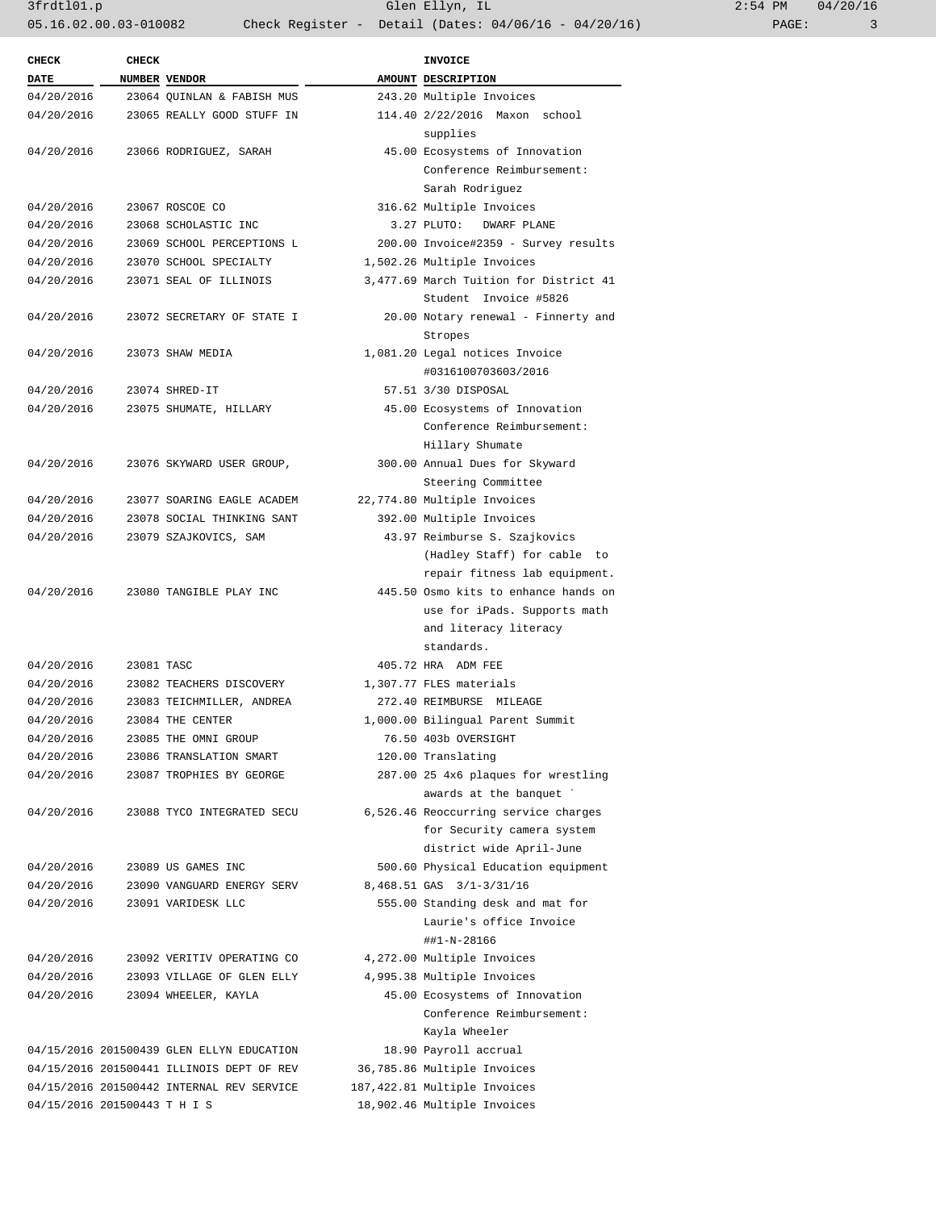3frdtl01.p Glen Ellyn, IL 2:54 PM 04/20/16 05.16.02.00.03-010082 Check Register - Detail (Dates: 04/06/16 - 04/20/16) PAGE: 3

| <b>CHECK</b> | <b>CHECK</b>         |                                           | INVOICE                                        |
|--------------|----------------------|-------------------------------------------|------------------------------------------------|
| <b>DATE</b>  | <b>NUMBER VENDOR</b> |                                           | AMOUNT DESCRIPTION                             |
| 04/20/2016   |                      | 23064 OUINLAN & FABISH MUS                | 243.20 Multiple Invoices                       |
| 04/20/2016   |                      | 23065 REALLY GOOD STUFF IN                | 114.40 2/22/2016 Maxon school<br>supplies      |
| 04/20/2016   |                      | 23066 RODRIGUEZ, SARAH                    | 45.00 Ecosystems of Innovation                 |
|              |                      |                                           | Conference Reimbursement:                      |
|              |                      |                                           | Sarah Rodriguez                                |
| 04/20/2016   |                      | 23067 ROSCOE CO                           | 316.62 Multiple Invoices                       |
| 04/20/2016   |                      | 23068 SCHOLASTIC INC                      | 3.27 PLUTO: DWARF PLANE                        |
| 04/20/2016   |                      | 23069 SCHOOL PERCEPTIONS L                | 200.00 Invoice#2359 - Survey results           |
| 04/20/2016   |                      | 23070 SCHOOL SPECIALTY                    | 1,502.26 Multiple Invoices                     |
| 04/20/2016   |                      | 23071 SEAL OF ILLINOIS                    | 3,477.69 March Tuition for District 41         |
|              |                      |                                           | Student Invoice #5826                          |
| 04/20/2016   |                      | 23072 SECRETARY OF STATE I                | 20.00 Notary renewal - Finnerty and<br>Stropes |
| 04/20/2016   |                      | 23073 SHAW MEDIA                          | 1,081.20 Legal notices Invoice                 |
|              |                      |                                           | #0316100703603/2016                            |
| 04/20/2016   |                      | 23074 SHRED-IT                            | 57.51 3/30 DISPOSAL                            |
| 04/20/2016   |                      | 23075 SHUMATE, HILLARY                    | 45.00 Ecosystems of Innovation                 |
|              |                      |                                           | Conference Reimbursement:                      |
|              |                      |                                           | Hillary Shumate                                |
| 04/20/2016   |                      | 23076 SKYWARD USER GROUP,                 | 300.00 Annual Dues for Skyward                 |
|              |                      |                                           | Steering Committee                             |
| 04/20/2016   |                      | 23077 SOARING EAGLE ACADEM                | 22,774.80 Multiple Invoices                    |
| 04/20/2016   |                      | 23078 SOCIAL THINKING SANT                | 392.00 Multiple Invoices                       |
| 04/20/2016   |                      | 23079 SZAJKOVICS, SAM                     | 43.97 Reimburse S. Szajkovics                  |
|              |                      |                                           | (Hadley Staff) for cable to                    |
|              |                      |                                           | repair fitness lab equipment.                  |
|              |                      | 04/20/2016 23080 TANGIBLE PLAY INC        | 445.50 Osmo kits to enhance hands on           |
|              |                      |                                           | use for iPads. Supports math                   |
|              |                      |                                           | and literacy literacy                          |
|              |                      |                                           | standards.                                     |
| 04/20/2016   | 23081 TASC           |                                           | 405.72 HRA ADM FEE                             |
| 04/20/2016   |                      | 23082 TEACHERS DISCOVERY                  | 1,307.77 FLES materials                        |
| 04/20/2016   |                      | 23083 TEICHMILLER, ANDREA                 | 272.40 REIMBURSE MILEAGE                       |
| 04/20/2016   |                      | 23084 THE CENTER                          | 1,000.00 Bilingual Parent Summit               |
| 04/20/2016   |                      | 23085 THE OMNI GROUP                      | 76.50 403b OVERSIGHT                           |
| 04/20/2016   |                      | 23086 TRANSLATION SMART                   | 120.00 Translating                             |
| 04/20/2016   |                      | 23087 TROPHIES BY GEORGE                  | 287.00 25 4x6 plaques for wrestling            |
|              |                      |                                           | awards at the banquet `                        |
| 04/20/2016   |                      | 23088 TYCO INTEGRATED SECU                | 6,526.46 Reoccurring service charges           |
|              |                      |                                           | for Security camera system                     |
|              |                      |                                           | district wide April-June                       |
| 04/20/2016   |                      | 23089 US GAMES INC                        | 500.60 Physical Education equipment            |
| 04/20/2016   |                      | 23090 VANGUARD ENERGY SERV                | 8,468.51 GAS 3/1-3/31/16                       |
| 04/20/2016   |                      | 23091 VARIDESK LLC                        | 555.00 Standing desk and mat for               |
|              |                      |                                           | Laurie's office Invoice                        |
|              |                      |                                           | ##1-N-28166                                    |
| 04/20/2016   |                      | 23092 VERITIV OPERATING CO                | 4,272.00 Multiple Invoices                     |
| 04/20/2016   |                      | 23093 VILLAGE OF GLEN ELLY                | 4,995.38 Multiple Invoices                     |
| 04/20/2016   |                      | 23094 WHEELER, KAYLA                      | 45.00 Ecosystems of Innovation                 |
|              |                      |                                           | Conference Reimbursement:                      |
|              |                      |                                           | Kayla Wheeler                                  |
|              |                      | 04/15/2016 201500439 GLEN ELLYN EDUCATION | 18.90 Payroll accrual                          |
|              |                      | 04/15/2016 201500441 ILLINOIS DEPT OF REV | 36,785.86 Multiple Invoices                    |
|              |                      |                                           |                                                |
|              |                      | 04/15/2016 201500442 INTERNAL REV SERVICE | 187,422.81 Multiple Invoices                   |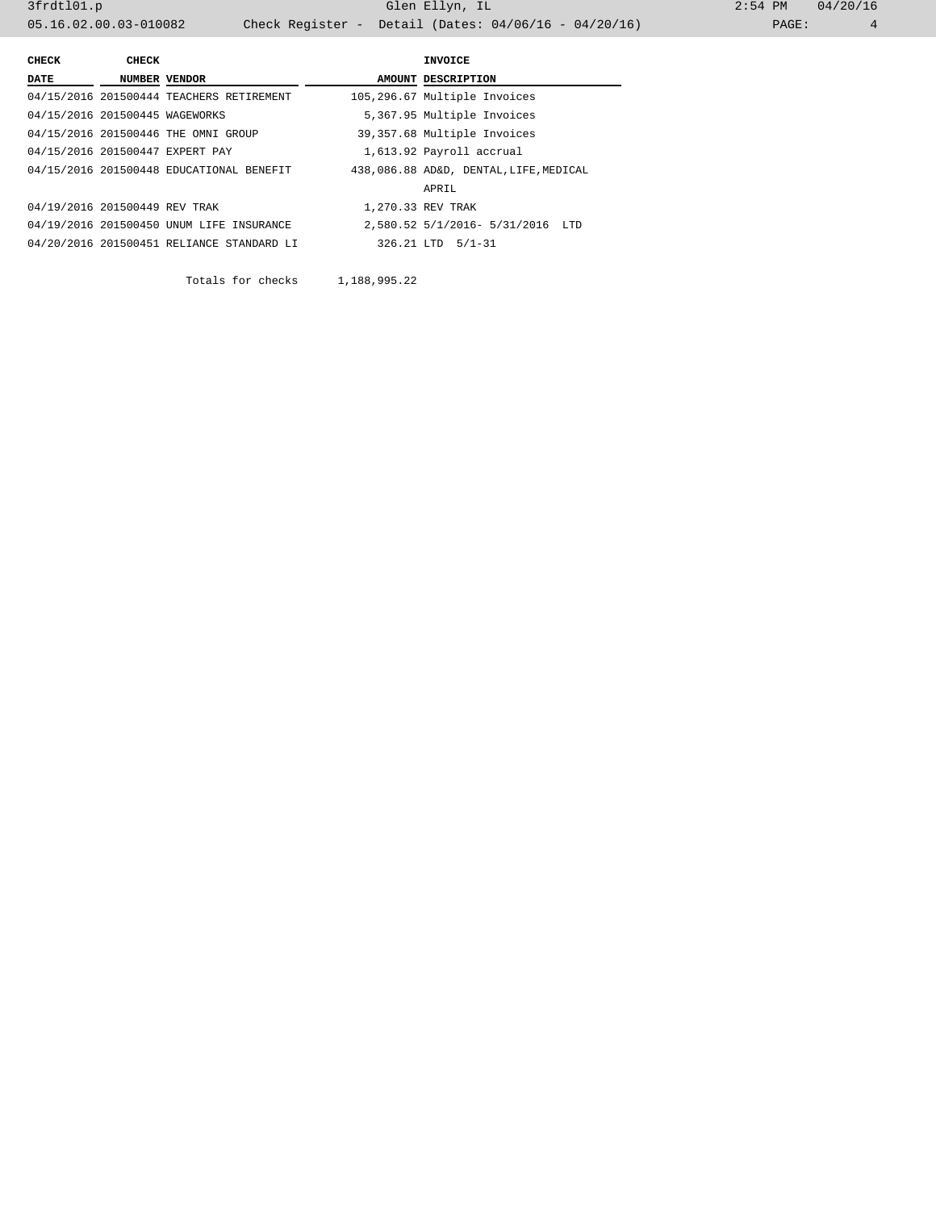3frdtl01.p Glen Ellyn, IL 2:54 PM 04/20/16 05.16.02.00.03-010082 Check Register - Detail (Dates: 04/06/16 - 04/20/16)

| CHECK                          | CHECK |                                           | <b>INVOICE</b>                         |
|--------------------------------|-------|-------------------------------------------|----------------------------------------|
| DATE                           |       | NUMBER VENDOR                             | AMOUNT DESCRIPTION                     |
|                                |       | 04/15/2016 201500444 TEACHERS RETIREMENT  | 105,296.67 Multiple Invoices           |
| 04/15/2016 201500445 WAGEWORKS |       |                                           | 5,367.95 Multiple Invoices             |
|                                |       | 04/15/2016 201500446 THE OMNI GROUP       | 39,357.68 Multiple Invoices            |
|                                |       | 04/15/2016 201500447 EXPERT PAY           | 1,613.92 Payroll accrual               |
|                                |       | 04/15/2016 201500448 EDUCATIONAL BENEFIT  | 438,086.88 AD&D, DENTAL, LIFE, MEDICAL |
|                                |       |                                           | APRIL                                  |
| 04/19/2016 201500449 REV TRAK  |       |                                           | 1,270.33 REV TRAK                      |
|                                |       | 04/19/2016 201500450 UNUM LIFE INSURANCE  | 2,580.52 5/1/2016- 5/31/2016 LTD       |
|                                |       | 04/20/2016 201500451 RELIANCE STANDARD LI | 326.21 LTD 5/1-31                      |
|                                |       |                                           |                                        |

Totals for checks 1,188,995.22